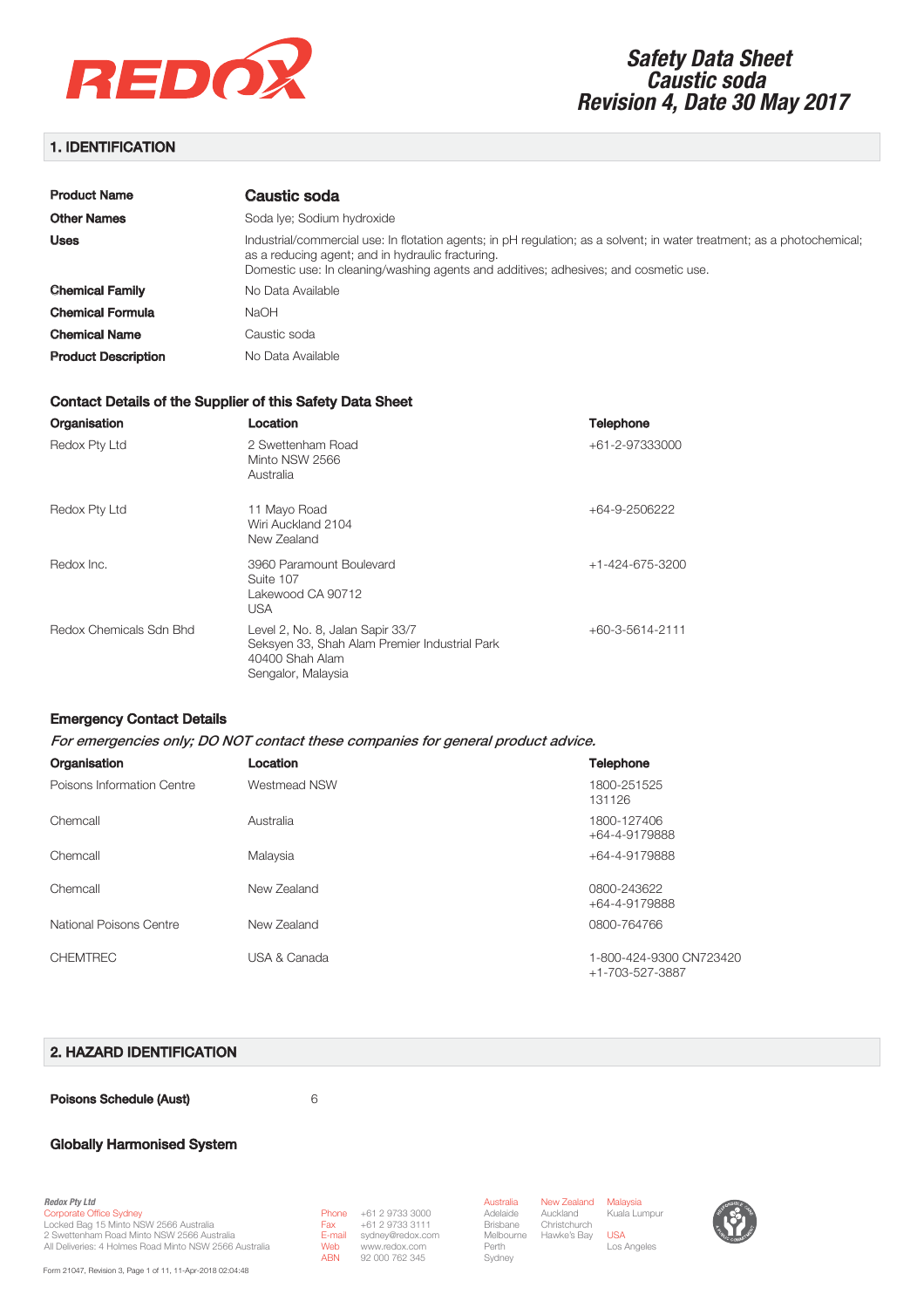

# 1. IDENTIFICATION

| <b>Product Name</b>        | Caustic soda                                                                                                                                                                                                                                                         |
|----------------------------|----------------------------------------------------------------------------------------------------------------------------------------------------------------------------------------------------------------------------------------------------------------------|
| <b>Other Names</b>         | Soda Iye; Sodium hydroxide                                                                                                                                                                                                                                           |
| <b>Uses</b>                | Industrial/commercial use: In flotation agents; in pH regulation; as a solvent; in water treatment; as a photochemical;<br>as a reducing agent; and in hydraulic fracturing.<br>Domestic use: In cleaning/washing agents and additives; adhesives; and cosmetic use. |
| <b>Chemical Family</b>     | No Data Available                                                                                                                                                                                                                                                    |
| <b>Chemical Formula</b>    | <b>NaOH</b>                                                                                                                                                                                                                                                          |
| <b>Chemical Name</b>       | Caustic soda                                                                                                                                                                                                                                                         |
| <b>Product Description</b> | No Data Available                                                                                                                                                                                                                                                    |

#### Contact Details of the Supplier of this Safety Data Sheet

| Organisation            | Location                                                                                                                   | <b>Telephone</b>        |
|-------------------------|----------------------------------------------------------------------------------------------------------------------------|-------------------------|
| Redox Pty Ltd           | 2 Swettenham Road<br>Minto NSW 2566<br>Australia                                                                           | +61-2-97333000          |
| Redox Pty Ltd           | 11 Mayo Road<br>Wiri Auckland 2104<br>New Zealand                                                                          | +64-9-2506222           |
| Redox Inc.              | 3960 Paramount Boulevard<br>Suite 107<br>Lakewood CA 90712<br>USA                                                          | $+1 - 424 - 675 - 3200$ |
| Redox Chemicals Sdn Bhd | Level 2, No. 8, Jalan Sapir 33/7<br>Seksyen 33, Shah Alam Premier Industrial Park<br>40400 Shah Alam<br>Sengalor, Malaysia | +60-3-5614-2111         |

#### Emergency Contact Details

#### For emergencies only; DO NOT contact these companies for general product advice.

| Organisation               | Location            | <b>Telephone</b>                           |
|----------------------------|---------------------|--------------------------------------------|
| Poisons Information Centre | <b>Westmead NSW</b> | 1800-251525<br>131126                      |
| Chemcall                   | Australia           | 1800-127406<br>+64-4-9179888               |
| Chemcall                   | Malaysia            | +64-4-9179888                              |
| Chemcall                   | New Zealand         | 0800-243622<br>+64-4-9179888               |
| National Poisons Centre    | New Zealand         | 0800-764766                                |
| <b>CHEMTREC</b>            | USA & Canada        | 1-800-424-9300 CN723420<br>+1-703-527-3887 |

#### 2. HAZARD IDENTIFICATION

Poisons Schedule (Aust) **6** 6

Fax

### Globally Harmonised System

*Redox Pty Ltd* Corporate Office Sydney Locked Bag 15 Minto NSW 2566 Australia 2 Swettenham Road Minto NSW 2566 Australia All Deliveries: 4 Holmes Road Minto NSW 2566 Australia

Form 21047, Revision 3, Page 1 of 11, 11-Apr-2018 02:04:48

Phone +61 2 9733 3000 E-mail Web sydney@redox.com www.redox.com ABN +61 2 9733 3111 92 000 762 345

Australia Adelaide Brisbane Perth Sydney

Melbourne Hawke's Bay USA New Zealand Malaysia Auckland **Christchurch** Kuala Lumpur Los Angeles



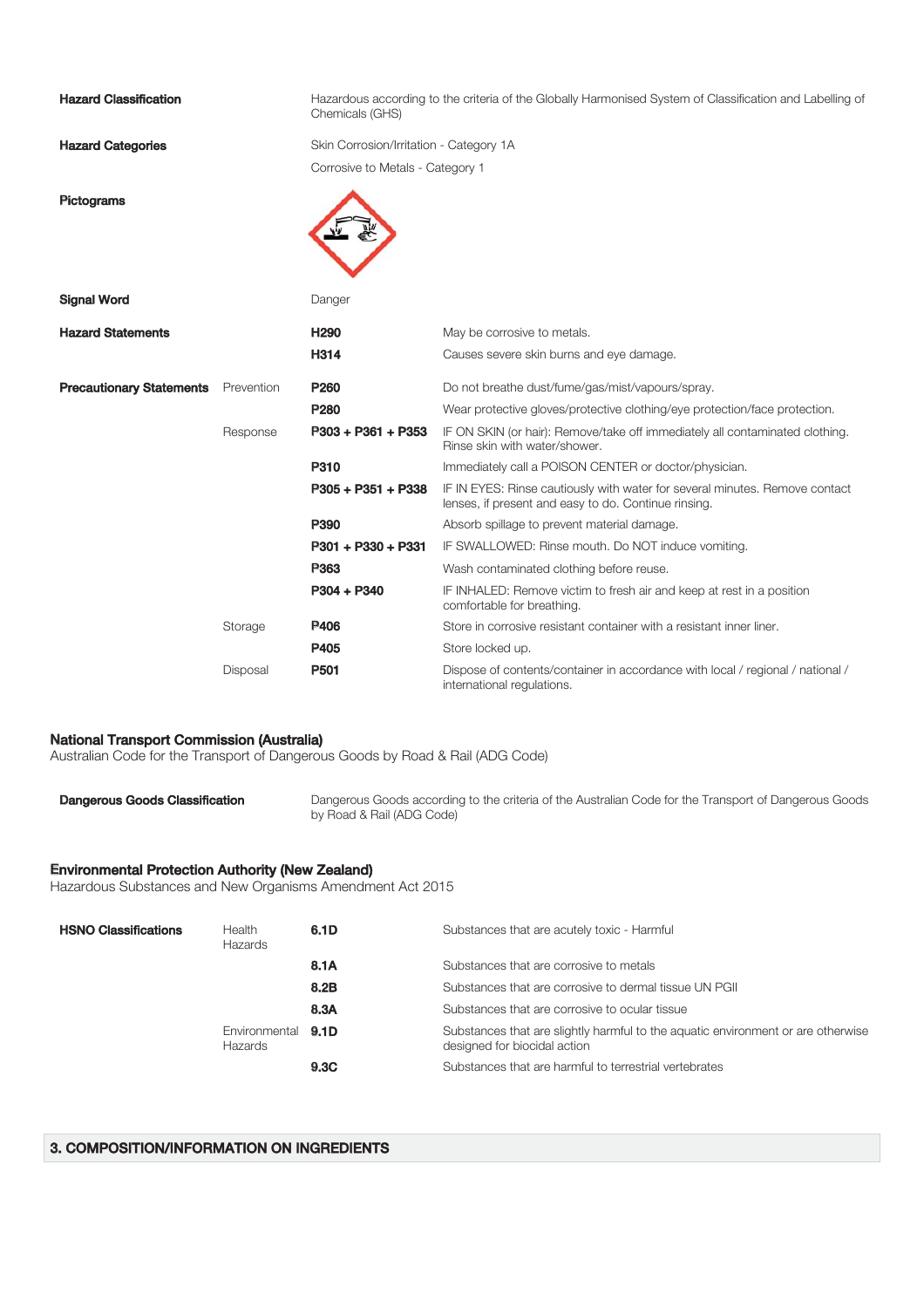| <b>Hazard Classification</b>    |            | Hazardous according to the criteria of the Globally Harmonised System of Classification and Labelling of<br>Chemicals (GHS) |                                                                                                                                     |  |
|---------------------------------|------------|-----------------------------------------------------------------------------------------------------------------------------|-------------------------------------------------------------------------------------------------------------------------------------|--|
| <b>Hazard Categories</b>        |            | Skin Corrosion/Irritation - Category 1A                                                                                     |                                                                                                                                     |  |
|                                 |            | Corrosive to Metals - Category 1                                                                                            |                                                                                                                                     |  |
| <b>Pictograms</b>               |            |                                                                                                                             |                                                                                                                                     |  |
| <b>Signal Word</b>              |            | Danger                                                                                                                      |                                                                                                                                     |  |
| <b>Hazard Statements</b>        |            | H <sub>290</sub>                                                                                                            | May be corrosive to metals.                                                                                                         |  |
|                                 |            | H314                                                                                                                        | Causes severe skin burns and eye damage.                                                                                            |  |
| <b>Precautionary Statements</b> | Prevention | P <sub>260</sub>                                                                                                            | Do not breathe dust/fume/gas/mist/vapours/spray.                                                                                    |  |
|                                 |            | P <sub>280</sub>                                                                                                            | Wear protective gloves/protective clothing/eye protection/face protection.                                                          |  |
|                                 | Response   | $P303 + P361 + P353$                                                                                                        | IF ON SKIN (or hair): Remove/take off immediately all contaminated clothing.<br>Rinse skin with water/shower.                       |  |
|                                 |            | P310                                                                                                                        | Immediately call a POISON CENTER or doctor/physician.                                                                               |  |
|                                 |            | $P305 + P351 + P338$                                                                                                        | IF IN EYES: Rinse cautiously with water for several minutes. Remove contact<br>lenses, if present and easy to do. Continue rinsing. |  |
|                                 |            | P390                                                                                                                        | Absorb spillage to prevent material damage.                                                                                         |  |
|                                 |            | P301 + P330 + P331                                                                                                          | IF SWALLOWED: Rinse mouth. Do NOT induce vomiting.                                                                                  |  |
|                                 |            | P363                                                                                                                        | Wash contaminated clothing before reuse.                                                                                            |  |
|                                 |            | $P304 + P340$                                                                                                               | IF INHALED: Remove victim to fresh air and keep at rest in a position<br>comfortable for breathing.                                 |  |
|                                 | Storage    | <b>P406</b>                                                                                                                 | Store in corrosive resistant container with a resistant inner liner.                                                                |  |
|                                 |            | P405                                                                                                                        | Store locked up.                                                                                                                    |  |
|                                 | Disposal   | P <sub>501</sub>                                                                                                            | Dispose of contents/container in accordance with local / regional / national /<br>international regulations.                        |  |

### National Transport Commission (Australia)

Australian Code for the Transport of Dangerous Goods by Road & Rail (ADG Code)

Dangerous Goods Classification Dangerous Goods according to the criteria of the Australian Code for the Transport of Dangerous Goods by Road & Rail (ADG Code)

### Environmental Protection Authority (New Zealand)

Hazardous Substances and New Organisms Amendment Act 2015

| <b>HSNO Classifications</b> | Health<br>Hazards                    | 6.1D | Substances that are acutely toxic - Harmful                                                                      |
|-----------------------------|--------------------------------------|------|------------------------------------------------------------------------------------------------------------------|
|                             |                                      | 8.1A | Substances that are corrosive to metals                                                                          |
|                             |                                      | 8.2B | Substances that are corrosive to dermal tissue UN PGII                                                           |
|                             |                                      | 8.3A | Substances that are corrosive to ocular tissue                                                                   |
|                             | Environmental 9.1D<br><b>Hazards</b> |      | Substances that are slightly harmful to the aquatic environment or are otherwise<br>designed for biocidal action |
|                             |                                      | 9.3C | Substances that are harmful to terrestrial vertebrates                                                           |

### 3. COMPOSITION/INFORMATION ON INGREDIENTS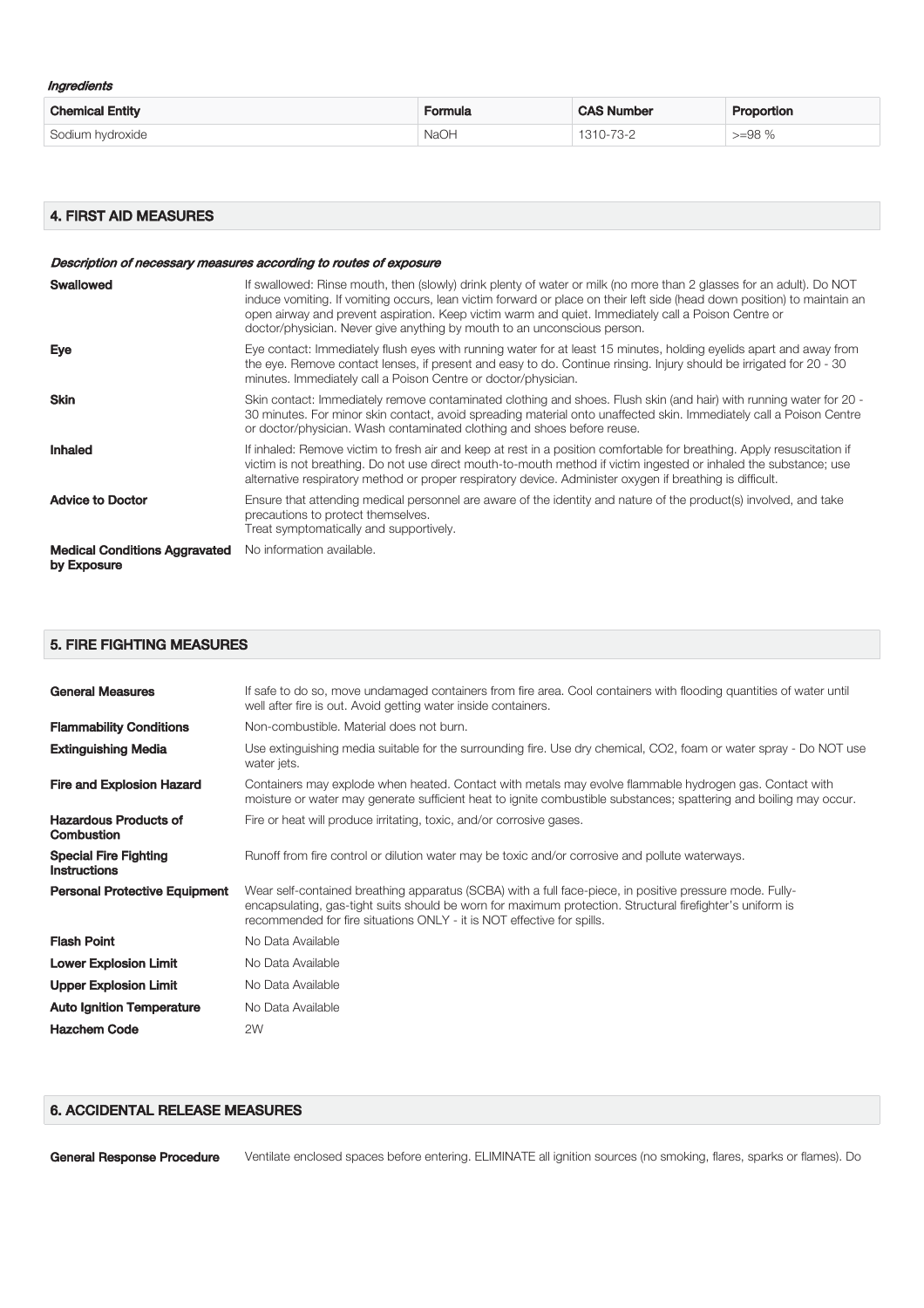| Ingredients |  |
|-------------|--|
|-------------|--|

| <b>Chemical Entity</b> | <b>Formula</b> | <b>CAS Number</b> | <b>Proportion</b> |
|------------------------|----------------|-------------------|-------------------|
| Sodium hydroxide       | <b>NaOH</b>    | 1310-73-2         | $>=98%$           |

### 4. FIRST AID MEASURES

|                                                     | Description of necessary measures according to routes of exposure                                                                                                                                                                                                                                                                                                                                                                   |
|-----------------------------------------------------|-------------------------------------------------------------------------------------------------------------------------------------------------------------------------------------------------------------------------------------------------------------------------------------------------------------------------------------------------------------------------------------------------------------------------------------|
| Swallowed                                           | If swallowed: Rinse mouth, then (slowly) drink plenty of water or milk (no more than 2 glasses for an adult). Do NOT<br>induce vomiting. If vomiting occurs, lean victim forward or place on their left side (head down position) to maintain an<br>open airway and prevent aspiration. Keep victim warm and quiet. Immediately call a Poison Centre or<br>doctor/physician. Never give anything by mouth to an unconscious person. |
| <b>Eye</b>                                          | Eye contact: Immediately flush eyes with running water for at least 15 minutes, holding eyelids apart and away from<br>the eye. Remove contact lenses, if present and easy to do. Continue rinsing. Injury should be irrigated for 20 - 30<br>minutes. Immediately call a Poison Centre or doctor/physician.                                                                                                                        |
| <b>Skin</b>                                         | Skin contact: Immediately remove contaminated clothing and shoes. Flush skin (and hair) with running water for 20 -<br>30 minutes. For minor skin contact, avoid spreading material onto unaffected skin. Immediately call a Poison Centre<br>or doctor/physician. Wash contaminated clothing and shoes before reuse.                                                                                                               |
| <b>Inhaled</b>                                      | If inhaled: Remove victim to fresh air and keep at rest in a position comfortable for breathing. Apply resuscitation if<br>victim is not breathing. Do not use direct mouth-to-mouth method if victim ingested or inhaled the substance; use<br>alternative respiratory method or proper respiratory device. Administer oxygen if breathing is difficult.                                                                           |
| <b>Advice to Doctor</b>                             | Ensure that attending medical personnel are aware of the identity and nature of the product(s) involved, and take<br>precautions to protect themselves.<br>Treat symptomatically and supportively.                                                                                                                                                                                                                                  |
| <b>Medical Conditions Aggravated</b><br>by Exposure | No information available.                                                                                                                                                                                                                                                                                                                                                                                                           |

# 5. FIRE FIGHTING MEASURES

| <b>General Measures</b>                             | If safe to do so, move undamaged containers from fire area. Cool containers with flooding quantities of water until<br>well after fire is out. Avoid getting water inside containers.                                                                                                           |
|-----------------------------------------------------|-------------------------------------------------------------------------------------------------------------------------------------------------------------------------------------------------------------------------------------------------------------------------------------------------|
| <b>Flammability Conditions</b>                      | Non-combustible. Material does not burn.                                                                                                                                                                                                                                                        |
| <b>Extinguishing Media</b>                          | Use extinguishing media suitable for the surrounding fire. Use dry chemical, CO2, foam or water spray - Do NOT use<br>water jets.                                                                                                                                                               |
| <b>Fire and Explosion Hazard</b>                    | Containers may explode when heated. Contact with metals may evolve flammable hydrogen gas. Contact with<br>moisture or water may generate sufficient heat to ignite combustible substances; spattering and boiling may occur.                                                                   |
| <b>Hazardous Products of</b><br><b>Combustion</b>   | Fire or heat will produce irritating, toxic, and/or corrosive gases.                                                                                                                                                                                                                            |
| <b>Special Fire Fighting</b><br><b>Instructions</b> | Runoff from fire control or dilution water may be toxic and/or corrosive and pollute waterways.                                                                                                                                                                                                 |
| <b>Personal Protective Equipment</b>                | Wear self-contained breathing apparatus (SCBA) with a full face-piece, in positive pressure mode. Fully-<br>encapsulating, gas-tight suits should be worn for maximum protection. Structural firefighter's uniform is<br>recommended for fire situations ONLY - it is NOT effective for spills. |
| <b>Flash Point</b>                                  | No Data Available                                                                                                                                                                                                                                                                               |
| <b>Lower Explosion Limit</b>                        | No Data Available                                                                                                                                                                                                                                                                               |
| <b>Upper Explosion Limit</b>                        | No Data Available                                                                                                                                                                                                                                                                               |
| <b>Auto Ignition Temperature</b>                    | No Data Available                                                                                                                                                                                                                                                                               |
| <b>Hazchem Code</b>                                 | 2W                                                                                                                                                                                                                                                                                              |

### 6. ACCIDENTAL RELEASE MEASURES

General Response Procedure Ventilate enclosed spaces before entering. ELIMINATE all ignition sources (no smoking, flares, sparks or flames). Do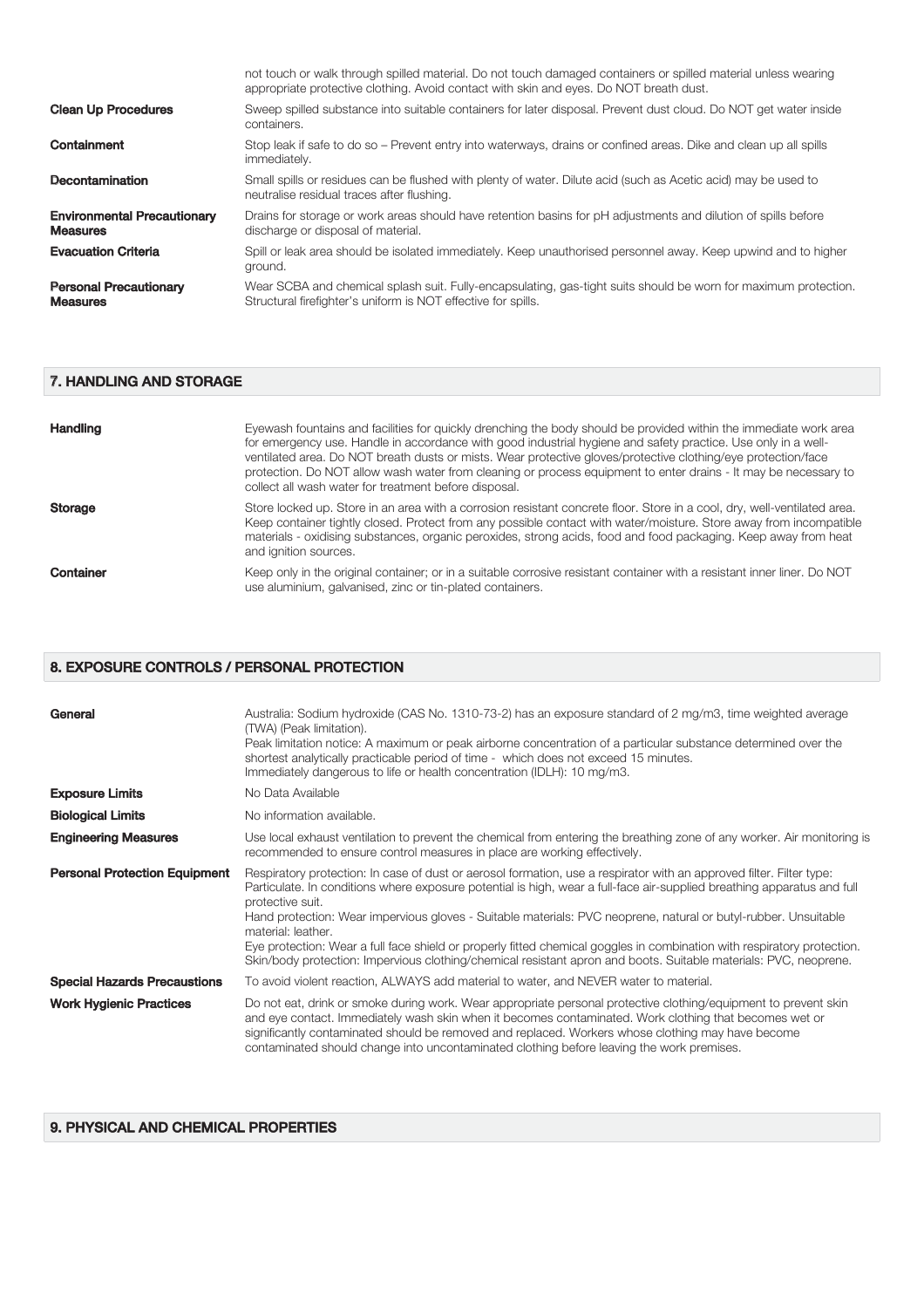|                                                       | not touch or walk through spilled material. Do not touch damaged containers or spilled material unless wearing<br>appropriate protective clothing. Avoid contact with skin and eyes. Do NOT breath dust. |
|-------------------------------------------------------|----------------------------------------------------------------------------------------------------------------------------------------------------------------------------------------------------------|
| <b>Clean Up Procedures</b>                            | Sweep spilled substance into suitable containers for later disposal. Prevent dust cloud. Do NOT get water inside<br>containers.                                                                          |
| Containment                                           | Stop leak if safe to do so – Prevent entry into waterways, drains or confined areas. Dike and clean up all spills<br>immediately.                                                                        |
| <b>Decontamination</b>                                | Small spills or residues can be flushed with plenty of water. Dilute acid (such as Acetic acid) may be used to<br>neutralise residual traces after flushing.                                             |
| <b>Environmental Precautionary</b><br><b>Measures</b> | Drains for storage or work areas should have retention basins for pH adjustments and dilution of spills before<br>discharge or disposal of material.                                                     |
| <b>Evacuation Criteria</b>                            | Spill or leak area should be isolated immediately. Keep unauthorised personnel away. Keep upwind and to higher<br>ground.                                                                                |
| <b>Personal Precautionary</b><br><b>Measures</b>      | Wear SCBA and chemical splash suit. Fully-encapsulating, gas-tight suits should be worn for maximum protection.<br>Structural firefighter's uniform is NOT effective for spills.                         |

# 7. HANDLING AND STORAGE

| <b>Handling</b> | Eyewash fountains and facilities for quickly drenching the body should be provided within the immediate work area<br>for emergency use. Handle in accordance with good industrial hygiene and safety practice. Use only in a well-<br>ventilated area. Do NOT breath dusts or mists. Wear protective gloves/protective clothing/eye protection/face<br>protection. Do NOT allow wash water from cleaning or process equipment to enter drains - It may be necessary to<br>collect all wash water for treatment before disposal. |
|-----------------|---------------------------------------------------------------------------------------------------------------------------------------------------------------------------------------------------------------------------------------------------------------------------------------------------------------------------------------------------------------------------------------------------------------------------------------------------------------------------------------------------------------------------------|
| <b>Storage</b>  | Store locked up. Store in an area with a corrosion resistant concrete floor. Store in a cool, dry, well-ventilated area.<br>Keep container tightly closed. Protect from any possible contact with water/moisture. Store away from incompatible<br>materials - oxidising substances, organic peroxides, strong acids, food and food packaging. Keep away from heat<br>and ignition sources.                                                                                                                                      |
| Container       | Keep only in the original container; or in a suitable corrosive resistant container with a resistant inner liner. Do NOT<br>use aluminium, galvanised, zinc or tin-plated containers.                                                                                                                                                                                                                                                                                                                                           |

### 8. EXPOSURE CONTROLS / PERSONAL PROTECTION

| General                              | Australia: Sodium hydroxide (CAS No. 1310-73-2) has an exposure standard of 2 mg/m3, time weighted average<br>(TWA) (Peak limitation).<br>Peak limitation notice: A maximum or peak airborne concentration of a particular substance determined over the<br>shortest analytically practicable period of time - which does not exceed 15 minutes.<br>Immediately dangerous to life or health concentration (IDLH): 10 mg/m3.                                                                                                                                                                                                                                 |
|--------------------------------------|-------------------------------------------------------------------------------------------------------------------------------------------------------------------------------------------------------------------------------------------------------------------------------------------------------------------------------------------------------------------------------------------------------------------------------------------------------------------------------------------------------------------------------------------------------------------------------------------------------------------------------------------------------------|
| <b>Exposure Limits</b>               | No Data Available                                                                                                                                                                                                                                                                                                                                                                                                                                                                                                                                                                                                                                           |
| <b>Biological Limits</b>             | No information available.                                                                                                                                                                                                                                                                                                                                                                                                                                                                                                                                                                                                                                   |
| <b>Engineering Measures</b>          | Use local exhaust ventilation to prevent the chemical from entering the breathing zone of any worker. Air monitoring is<br>recommended to ensure control measures in place are working effectively.                                                                                                                                                                                                                                                                                                                                                                                                                                                         |
| <b>Personal Protection Equipment</b> | Respiratory protection: In case of dust or aerosol formation, use a respirator with an approved filter. Filter type:<br>Particulate. In conditions where exposure potential is high, wear a full-face air-supplied breathing apparatus and full<br>protective suit.<br>Hand protection: Wear impervious gloves - Suitable materials: PVC neoprene, natural or butyl-rubber. Unsuitable<br>material: leather.<br>Eye protection: Wear a full face shield or properly fitted chemical goggles in combination with respiratory protection.<br>Skin/body protection: Impervious clothing/chemical resistant apron and boots. Suitable materials: PVC, neoprene. |
| <b>Special Hazards Precaustions</b>  | To avoid violent reaction, ALWAYS add material to water, and NEVER water to material.                                                                                                                                                                                                                                                                                                                                                                                                                                                                                                                                                                       |
| <b>Work Hygienic Practices</b>       | Do not eat, drink or smoke during work. Wear appropriate personal protective clothing/equipment to prevent skin<br>and eye contact. Immediately wash skin when it becomes contaminated. Work clothing that becomes wet or<br>significantly contaminated should be removed and replaced. Workers whose clothing may have become<br>contaminated should change into uncontaminated clothing before leaving the work premises.                                                                                                                                                                                                                                 |

### 9. PHYSICAL AND CHEMICAL PROPERTIES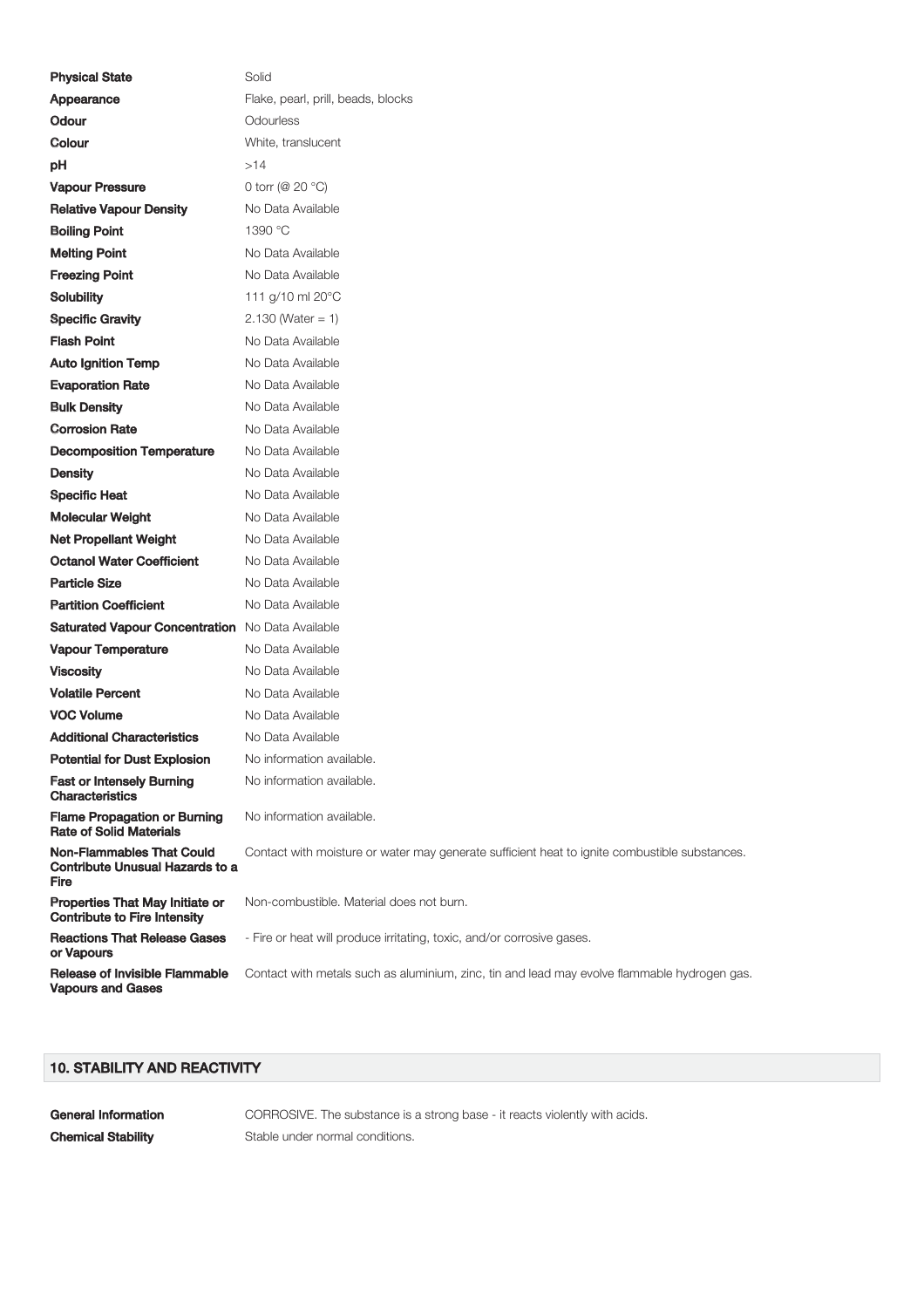| <b>Physical State</b>                                                              | Solid                                                                                         |
|------------------------------------------------------------------------------------|-----------------------------------------------------------------------------------------------|
| Appearance                                                                         | Flake, pearl, prill, beads, blocks                                                            |
| <b>Odour</b>                                                                       | Odourless                                                                                     |
| Colour                                                                             | White, translucent                                                                            |
| рH                                                                                 | >14                                                                                           |
| <b>Vapour Pressure</b>                                                             | 0 torr ( $@$ 20 °C)                                                                           |
| <b>Relative Vapour Density</b>                                                     | No Data Available                                                                             |
| <b>Boiling Point</b>                                                               | 1390 °C                                                                                       |
| <b>Melting Point</b>                                                               | No Data Available                                                                             |
| <b>Freezing Point</b>                                                              | No Data Available                                                                             |
| <b>Solubility</b>                                                                  | 111 g/10 ml 20°C                                                                              |
| <b>Specific Gravity</b>                                                            | $2.130$ (Water = 1)                                                                           |
| <b>Flash Point</b>                                                                 | No Data Available                                                                             |
| <b>Auto Ignition Temp</b>                                                          | No Data Available                                                                             |
| <b>Evaporation Rate</b>                                                            | No Data Available                                                                             |
| <b>Bulk Density</b>                                                                | No Data Available                                                                             |
| <b>Corrosion Rate</b>                                                              | No Data Available                                                                             |
| <b>Decomposition Temperature</b>                                                   | No Data Available                                                                             |
| <b>Density</b>                                                                     | No Data Available                                                                             |
| <b>Specific Heat</b>                                                               | No Data Available                                                                             |
| <b>Molecular Weight</b>                                                            | No Data Available                                                                             |
| <b>Net Propellant Weight</b>                                                       | No Data Available                                                                             |
| <b>Octanol Water Coefficient</b>                                                   | No Data Available                                                                             |
| <b>Particle Size</b>                                                               | No Data Available                                                                             |
| <b>Partition Coefficient</b>                                                       | No Data Available                                                                             |
| <b>Saturated Vapour Concentration</b> No Data Available                            |                                                                                               |
| <b>Vapour Temperature</b>                                                          | No Data Available                                                                             |
| <b>Viscosity</b>                                                                   | No Data Available                                                                             |
| <b>Volatile Percent</b>                                                            | No Data Available                                                                             |
| <b>VOC Volume</b>                                                                  | No Data Available                                                                             |
| <b>Additional Characteristics</b>                                                  | No Data Available                                                                             |
| <b>Potential for Dust Explosion</b>                                                | No information available.                                                                     |
| <b>Fast or Intensely Burning</b><br><b>Characteristics</b>                         | No information available.                                                                     |
| <b>Flame Propagation or Burning</b><br><b>Rate of Solid Materials</b>              | No information available.                                                                     |
| <b>Non-Flammables That Could</b><br><b>Contribute Unusual Hazards to a</b><br>Fire | Contact with moisture or water may generate sufficient heat to ignite combustible substances. |
| <b>Properties That May Initiate or</b><br><b>Contribute to Fire Intensity</b>      | Non-combustible. Material does not burn.                                                      |
| <b>Reactions That Release Gases</b><br>or Vapours                                  | - Fire or heat will produce irritating, toxic, and/or corrosive gases.                        |
| <b>Release of Invisible Flammable</b><br><b>Vapours and Gases</b>                  | Contact with metals such as aluminium, zinc, tin and lead may evolve flammable hydrogen gas.  |

# 10. STABILITY AND REACTIVITY

General Information **CORROSIVE.** The substance is a strong base - it reacts violently with acids. **Chemical Stability** Stable under normal conditions.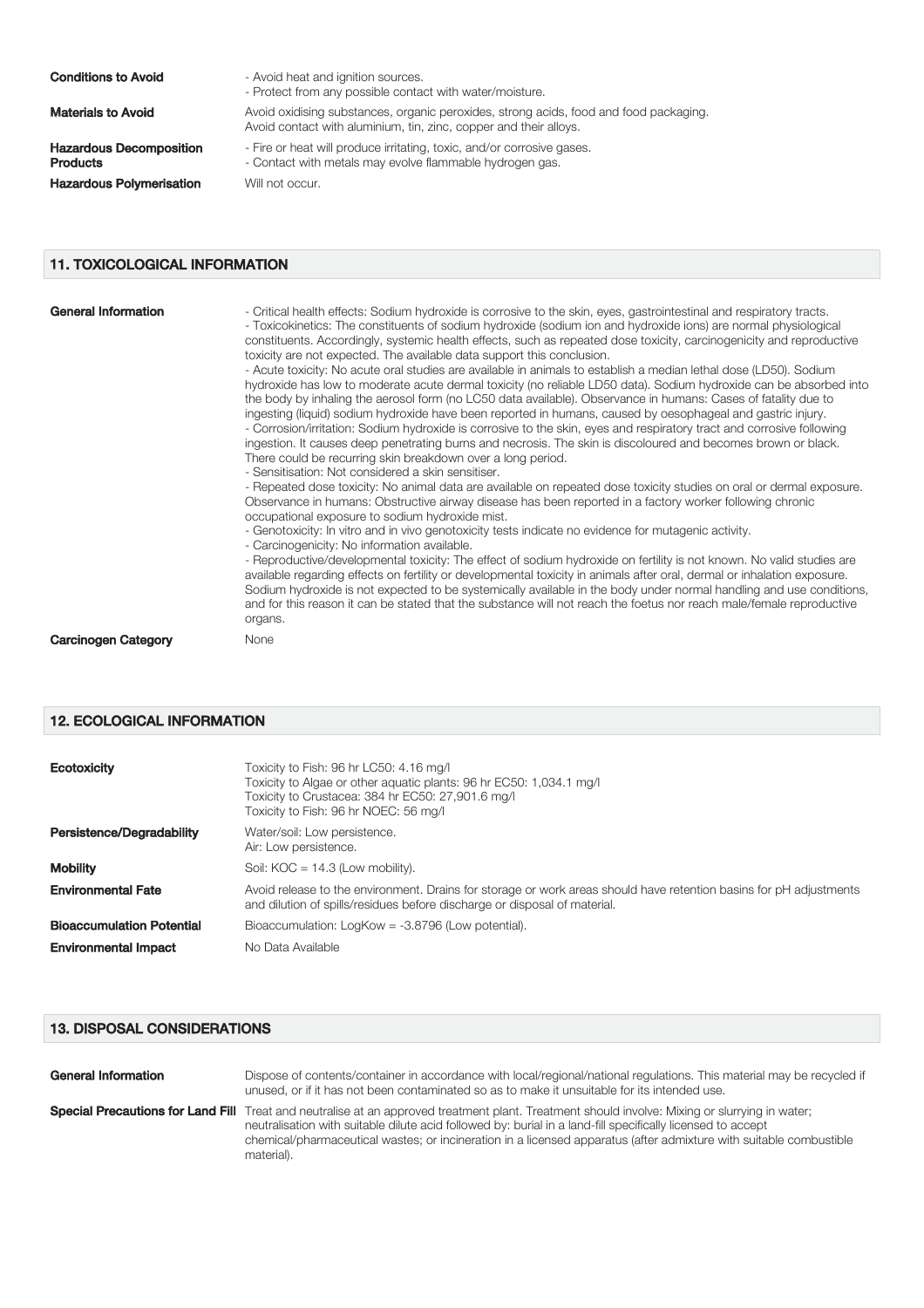### **Conditions to Avoid** - Avoid heat and ignition sources.

Hazardous Decomposition Products **Hazardous Polymerisation** Will not occur.

- Protect from any possible contact with water/moisture. Materials to Avoid **Avoid Avoid oxidising substances**, organic peroxides, strong acids, food and food packaging. Avoid contact with aluminium, tin, zinc, copper and their alloys. - Fire or heat will produce irritating, toxic, and/or corrosive gases. - Contact with metals may evolve flammable hydrogen gas.

11. TOXICOLOGICAL INFORMATION

| <b>General Information</b> | - Critical health effects: Sodium hydroxide is corrosive to the skin, eyes, gastrointestinal and respiratory tracts.<br>- Toxicokinetics: The constituents of sodium hydroxide (sodium ion and hydroxide ions) are normal physiological<br>constituents. Accordingly, systemic health effects, such as repeated dose toxicity, carcinogenicity and reproductive<br>toxicity are not expected. The available data support this conclusion.<br>- Acute toxicity: No acute oral studies are available in animals to establish a median lethal dose (LD50). Sodium<br>hydroxide has low to moderate acute dermal toxicity (no reliable LD50 data). Sodium hydroxide can be absorbed into<br>the body by inhaling the aerosol form (no LC50 data available). Observance in humans: Cases of fatality due to<br>ingesting (liquid) sodium hydroxide have been reported in humans, caused by oesophageal and gastric injury.<br>- Corrosion/irritation: Sodium hydroxide is corrosive to the skin, eyes and respiratory tract and corrosive following<br>ingestion. It causes deep penetrating burns and necrosis. The skin is discoloured and becomes brown or black.<br>There could be recurring skin breakdown over a long period.<br>- Sensitisation: Not considered a skin sensitiser.<br>- Repeated dose toxicity: No animal data are available on repeated dose toxicity studies on oral or dermal exposure.<br>Observance in humans: Obstructive airway disease has been reported in a factory worker following chronic<br>occupational exposure to sodium hydroxide mist.<br>- Genotoxicity: In vitro and in vivo genotoxicity tests indicate no evidence for mutagenic activity.<br>- Carcinogenicity: No information available.<br>- Reproductive/developmental toxicity: The effect of sodium hydroxide on fertility is not known. No valid studies are<br>available regarding effects on fertility or developmental toxicity in animals after oral, dermal or inhalation exposure.<br>Sodium hydroxide is not expected to be systemically available in the body under normal handling and use conditions,<br>and for this reason it can be stated that the substance will not reach the foetus nor reach male/female reproductive<br>organs. |
|----------------------------|----------------------------------------------------------------------------------------------------------------------------------------------------------------------------------------------------------------------------------------------------------------------------------------------------------------------------------------------------------------------------------------------------------------------------------------------------------------------------------------------------------------------------------------------------------------------------------------------------------------------------------------------------------------------------------------------------------------------------------------------------------------------------------------------------------------------------------------------------------------------------------------------------------------------------------------------------------------------------------------------------------------------------------------------------------------------------------------------------------------------------------------------------------------------------------------------------------------------------------------------------------------------------------------------------------------------------------------------------------------------------------------------------------------------------------------------------------------------------------------------------------------------------------------------------------------------------------------------------------------------------------------------------------------------------------------------------------------------------------------------------------------------------------------------------------------------------------------------------------------------------------------------------------------------------------------------------------------------------------------------------------------------------------------------------------------------------------------------------------------------------------------------------------------------------------------------------------------------------------------------------|
| <b>Carcinogen Category</b> | None                                                                                                                                                                                                                                                                                                                                                                                                                                                                                                                                                                                                                                                                                                                                                                                                                                                                                                                                                                                                                                                                                                                                                                                                                                                                                                                                                                                                                                                                                                                                                                                                                                                                                                                                                                                                                                                                                                                                                                                                                                                                                                                                                                                                                                               |

#### 12. ECOLOGICAL INFORMATION

| <b>Ecotoxicity</b>               | Toxicity to Fish: 96 hr LC50: 4.16 mg/l<br>Toxicity to Algae or other aguatic plants: 96 hr EC50: 1,034.1 mg/l<br>Toxicity to Crustacea: 384 hr EC50: 27,901.6 mg/l<br>Toxicity to Fish: 96 hr NOEC: 56 mg/l |
|----------------------------------|--------------------------------------------------------------------------------------------------------------------------------------------------------------------------------------------------------------|
| <b>Persistence/Degradability</b> | Water/soil: Low persistence.<br>Air: Low persistence.                                                                                                                                                        |
| <b>Mobility</b>                  | Soil: $KOC = 14.3$ (Low mobility).                                                                                                                                                                           |
| <b>Environmental Fate</b>        | Avoid release to the environment. Drains for storage or work areas should have retention basins for pH adjustments<br>and dilution of spills/residues before discharge or disposal of material.              |
| <b>Bioaccumulation Potential</b> | Bioaccumulation: LogKow = -3.8796 (Low potential).                                                                                                                                                           |
| <b>Environmental Impact</b>      | No Data Available                                                                                                                                                                                            |

### 13. DISPOSAL CONSIDERATIONS

| <b>General Information</b> | Dispose of contents/container in accordance with local/regional/national regulations. This material may be recycled if<br>unused, or if it has not been contaminated so as to make it unsuitable for its intended use.                                                                                                                                                                                   |
|----------------------------|----------------------------------------------------------------------------------------------------------------------------------------------------------------------------------------------------------------------------------------------------------------------------------------------------------------------------------------------------------------------------------------------------------|
|                            | <b>Special Precautions for Land Fill</b> Treat and neutralise at an approved treatment plant. Treatment should involve: Mixing or slurrying in water;<br>neutralisation with suitable dilute acid followed by: burial in a land-fill specifically licensed to accept<br>chemical/pharmaceutical wastes; or incineration in a licensed apparatus (after admixture with suitable combustible<br>material). |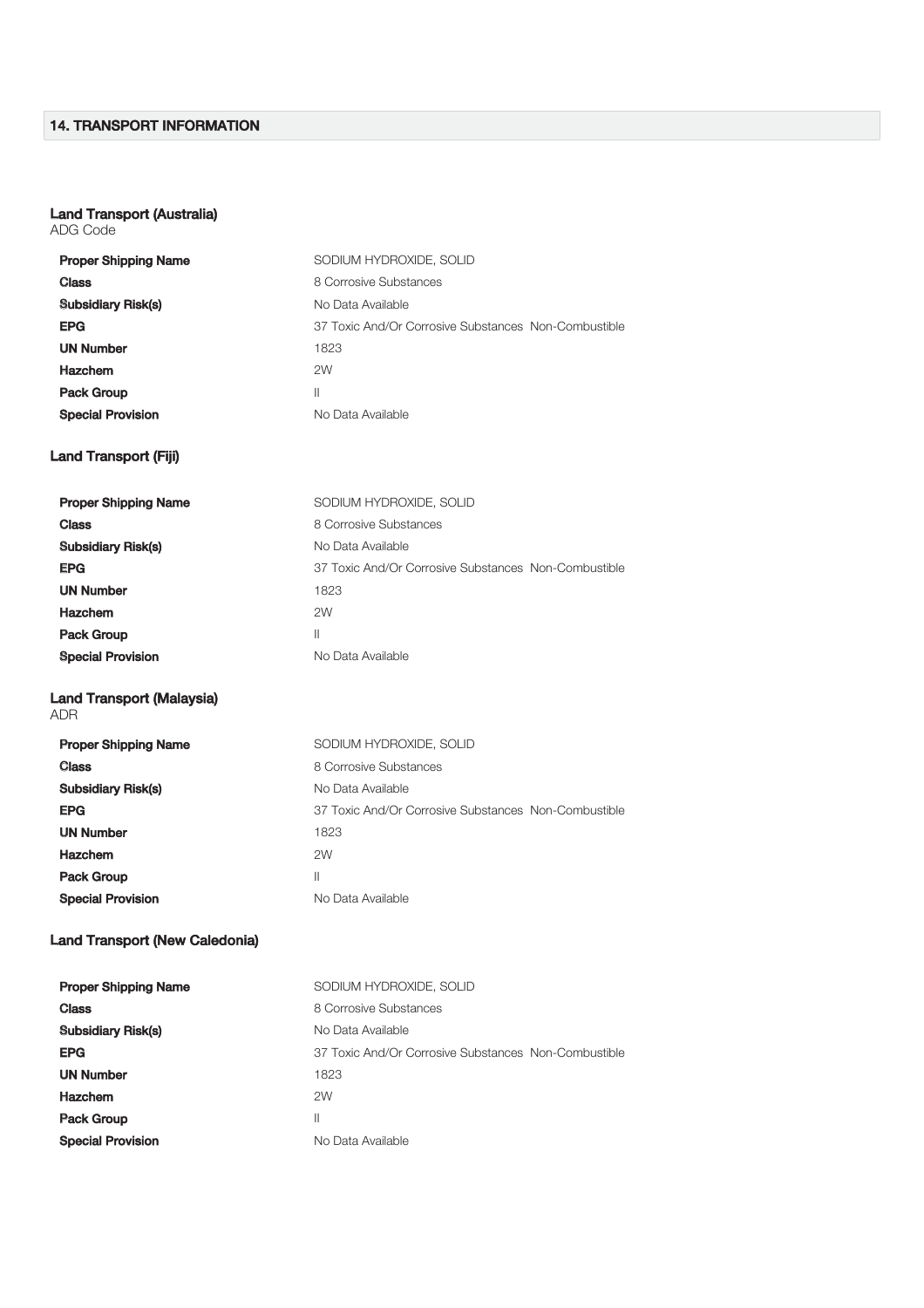# 14. TRANSPORT INFORMATION

#### Land Transport (Australia)

ADG Code

| <b>Proper Shipping Name</b>             | SODIUM HYDROXIDE, SOLID                              |
|-----------------------------------------|------------------------------------------------------|
| <b>Class</b>                            | 8 Corrosive Substances                               |
| <b>Subsidiary Risk(s)</b>               | No Data Available                                    |
| <b>EPG</b>                              | 37 Toxic And/Or Corrosive Substances Non-Combustible |
| <b>UN Number</b>                        | 1823                                                 |
| <b>Hazchem</b>                          | 2W                                                   |
| <b>Pack Group</b>                       | Ш                                                    |
| <b>Special Provision</b>                | No Data Available                                    |
| <b>Land Transport (Fiji)</b>            |                                                      |
| <b>Proper Shipping Name</b>             | SODIUM HYDROXIDE, SOLID                              |
| <b>Class</b>                            | 8 Corrosive Substances                               |
| <b>Subsidiary Risk(s)</b>               | No Data Available                                    |
| <b>EPG</b>                              | 37 Toxic And/Or Corrosive Substances Non-Combustible |
| <b>UN Number</b>                        | 1823                                                 |
| <b>Hazchem</b>                          | 2W                                                   |
| <b>Pack Group</b>                       | Ш                                                    |
| <b>Special Provision</b>                | No Data Available                                    |
| <b>Land Transport (Malaysia)</b><br>ADR |                                                      |
| <b>Proper Shipping Name</b>             | SODIUM HYDROXIDE, SOLID                              |
| <b>Class</b>                            | 8 Corrosive Substances                               |
| <b>Subsidiary Risk(s)</b>               | No Data Available                                    |
| <b>EPG</b>                              | 37 Toxic And/Or Corrosive Substances Non-Combustible |
| <b>UN Number</b>                        | 1823                                                 |
| <b>Hazchem</b>                          | 2W                                                   |
| <b>Pack Group</b>                       | Ш                                                    |
| <b>Special Provision</b>                | No Data Available                                    |
| <b>Land Transport (New Caledonia)</b>   |                                                      |
| <b>Proper Shipping Name</b>             | SODIUM HYDROXIDE, SOLID                              |
| <b>Class</b>                            | 8 Corrosive Substances                               |
| <b>Subsidiary Risk(s)</b>               | No Data Available                                    |
| <b>EPG</b>                              | 37 Toxic And/Or Corrosive Substances Non-Combustible |
| <b>UN Number</b>                        | 1823                                                 |
| <b>Hazchem</b>                          | 2W                                                   |
| <b>Pack Group</b>                       | Ш                                                    |
| <b>Special Provision</b>                | No Data Available                                    |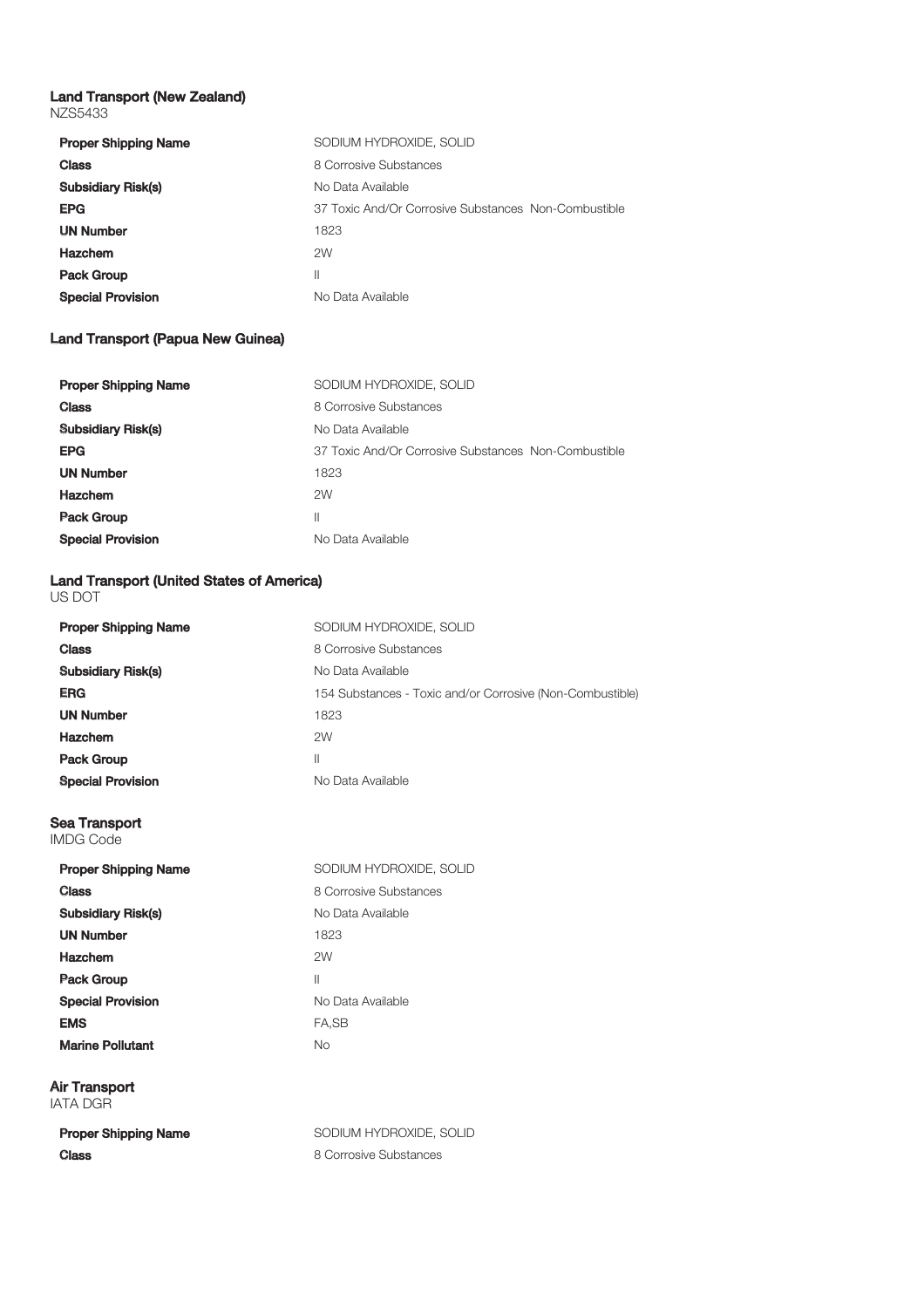#### Land Transport (New Zealand) NZS5433

| <b>Proper Shipping Name</b> | SODIUM HYDROXIDE, SOLID                              |  |
|-----------------------------|------------------------------------------------------|--|
| <b>Class</b>                | 8 Corrosive Substances                               |  |
| <b>Subsidiary Risk(s)</b>   | No Data Available                                    |  |
| <b>EPG</b>                  | 37 Toxic And/Or Corrosive Substances Non-Combustible |  |
| <b>UN Number</b>            | 1823                                                 |  |
| <b>Hazchem</b>              | 2W                                                   |  |
| <b>Pack Group</b>           | Ш                                                    |  |
| <b>Special Provision</b>    | No Data Available                                    |  |

# Land Transport (Papua New Guinea)

| <b>Proper Shipping Name</b> | SODIUM HYDROXIDE, SOLID                              |
|-----------------------------|------------------------------------------------------|
| <b>Class</b>                | 8 Corrosive Substances                               |
| <b>Subsidiary Risk(s)</b>   | No Data Available                                    |
| <b>EPG</b>                  | 37 Toxic And/Or Corrosive Substances Non-Combustible |
| <b>UN Number</b>            | 1823                                                 |
| <b>Hazchem</b>              | 2W                                                   |
| <b>Pack Group</b>           | Ш                                                    |
| <b>Special Provision</b>    | No Data Available                                    |

# Land Transport (United States of America)

| US DOT                                   |                                                           |  |
|------------------------------------------|-----------------------------------------------------------|--|
| <b>Proper Shipping Name</b>              | SODIUM HYDROXIDE, SOLID                                   |  |
| <b>Class</b>                             | 8 Corrosive Substances                                    |  |
| <b>Subsidiary Risk(s)</b>                | No Data Available                                         |  |
| <b>ERG</b>                               | 154 Substances - Toxic and/or Corrosive (Non-Combustible) |  |
| <b>UN Number</b>                         | 1823                                                      |  |
| <b>Hazchem</b>                           | 2W                                                        |  |
| <b>Pack Group</b>                        | $\mathbf{H}$                                              |  |
| <b>Special Provision</b>                 | No Data Available                                         |  |
| <b>Sea Transport</b><br><b>IMDG Code</b> |                                                           |  |
| <b>Proper Shipping Name</b>              | SODIUM HYDROXIDE, SOLID                                   |  |
| <b>Class</b>                             | 8 Corrosive Substances                                    |  |
| <b>Subsidiary Risk(s)</b>                | No Data Available                                         |  |
| <b>UN Number</b>                         | 1823                                                      |  |
| <b>Hazchem</b>                           | 2W                                                        |  |
| <b>Pack Group</b>                        | $\mathbf{H}$                                              |  |
| <b>Special Provision</b>                 | No Data Available                                         |  |
| <b>EMS</b>                               | FA,SB                                                     |  |
| <b>Marine Pollutant</b>                  | <b>No</b>                                                 |  |
| <b>Air Transport</b><br><b>IATA DGR</b>  |                                                           |  |
| <b>Proper Shipping Name</b>              | SODIUM HYDROXIDE, SOLID                                   |  |
| <b>Class</b>                             | 8 Corrosive Substances                                    |  |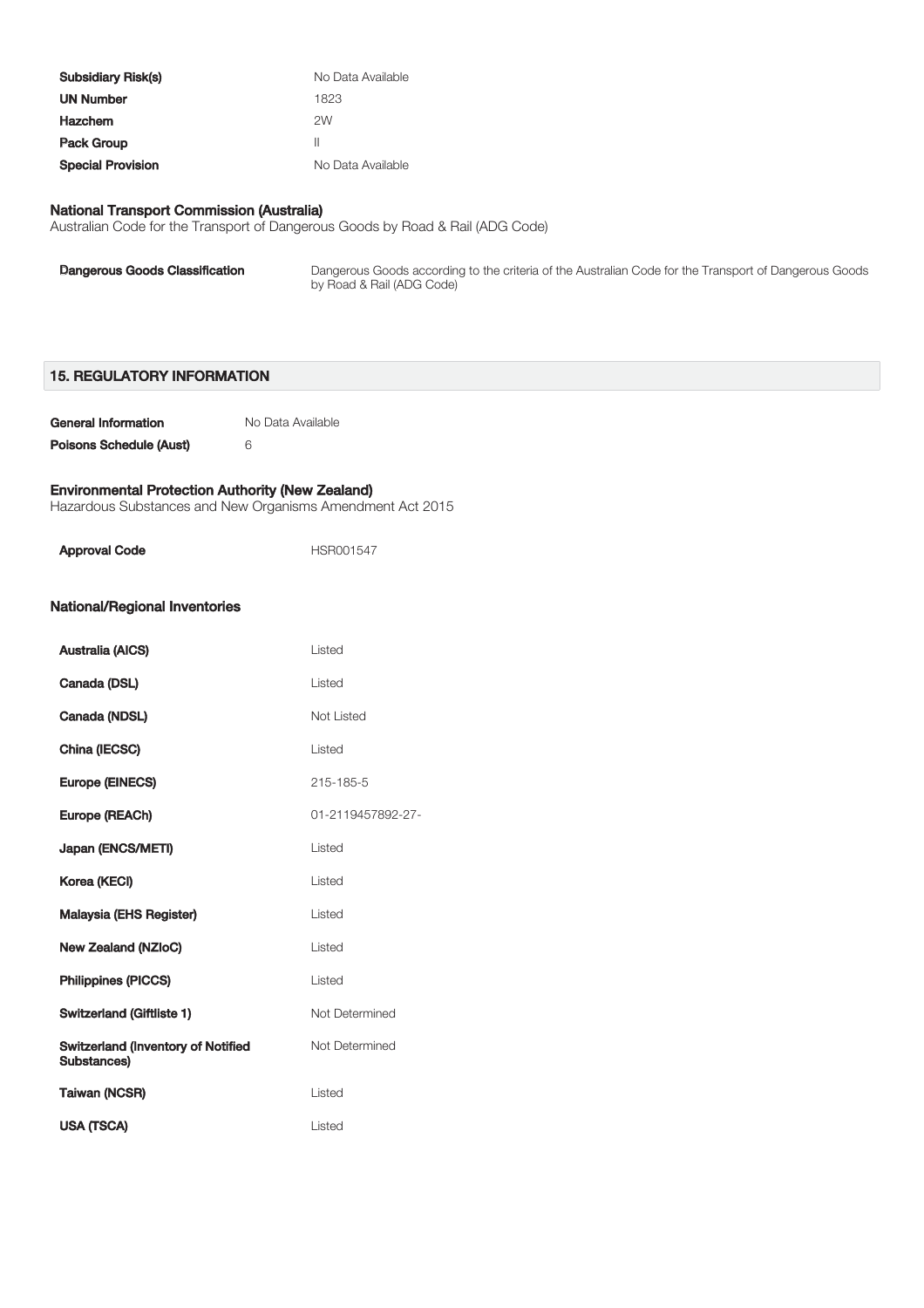| <b>Subsidiary Risk(s)</b> | No Data Available |
|---------------------------|-------------------|
| <b>UN Number</b>          | 1823              |
| <b>Hazchem</b>            | 2W                |
| <b>Pack Group</b>         | Ш                 |
| <b>Special Provision</b>  | No Data Available |

#### National Transport Commission (Australia)

Australian Code for the Transport of Dangerous Goods by Road & Rail (ADG Code)

| <b>Dangerous Goods Classification</b> | Dangerous Goods according to the criteria of the Australian Code for the Transport of Dangerous Goods<br>by Road & Rail (ADG Code) |
|---------------------------------------|------------------------------------------------------------------------------------------------------------------------------------|
|                                       |                                                                                                                                    |

### 15. REGULATORY INFORMATION

| General Information     | No Data Available |
|-------------------------|-------------------|
| Poisons Schedule (Aust) | ĥ                 |

### Environmental Protection Authority (New Zealand)

Hazardous Substances and New Organisms Amendment Act 2015

| <b>Approval Code</b>                                     | HSR001547         |  |
|----------------------------------------------------------|-------------------|--|
| <b>National/Regional Inventories</b>                     |                   |  |
| <b>Australia (AICS)</b>                                  | Listed            |  |
| Canada (DSL)                                             | Listed            |  |
| Canada (NDSL)                                            | Not Listed        |  |
| China (IECSC)                                            | Listed            |  |
| <b>Europe (EINECS)</b>                                   | 215-185-5         |  |
| Europe (REACh)                                           | 01-2119457892-27- |  |
| Japan (ENCS/METI)                                        | Listed            |  |
| Korea (KECI)                                             | Listed            |  |
| <b>Malaysia (EHS Register)</b>                           | Listed            |  |
| <b>New Zealand (NZIoC)</b>                               | Listed            |  |
| <b>Philippines (PICCS)</b>                               | Listed            |  |
| <b>Switzerland (Giftliste 1)</b>                         | Not Determined    |  |
| <b>Switzerland (Inventory of Notified</b><br>Substances) | Not Determined    |  |
| <b>Taiwan (NCSR)</b>                                     | Listed            |  |
| <b>USA (TSCA)</b>                                        | Listed            |  |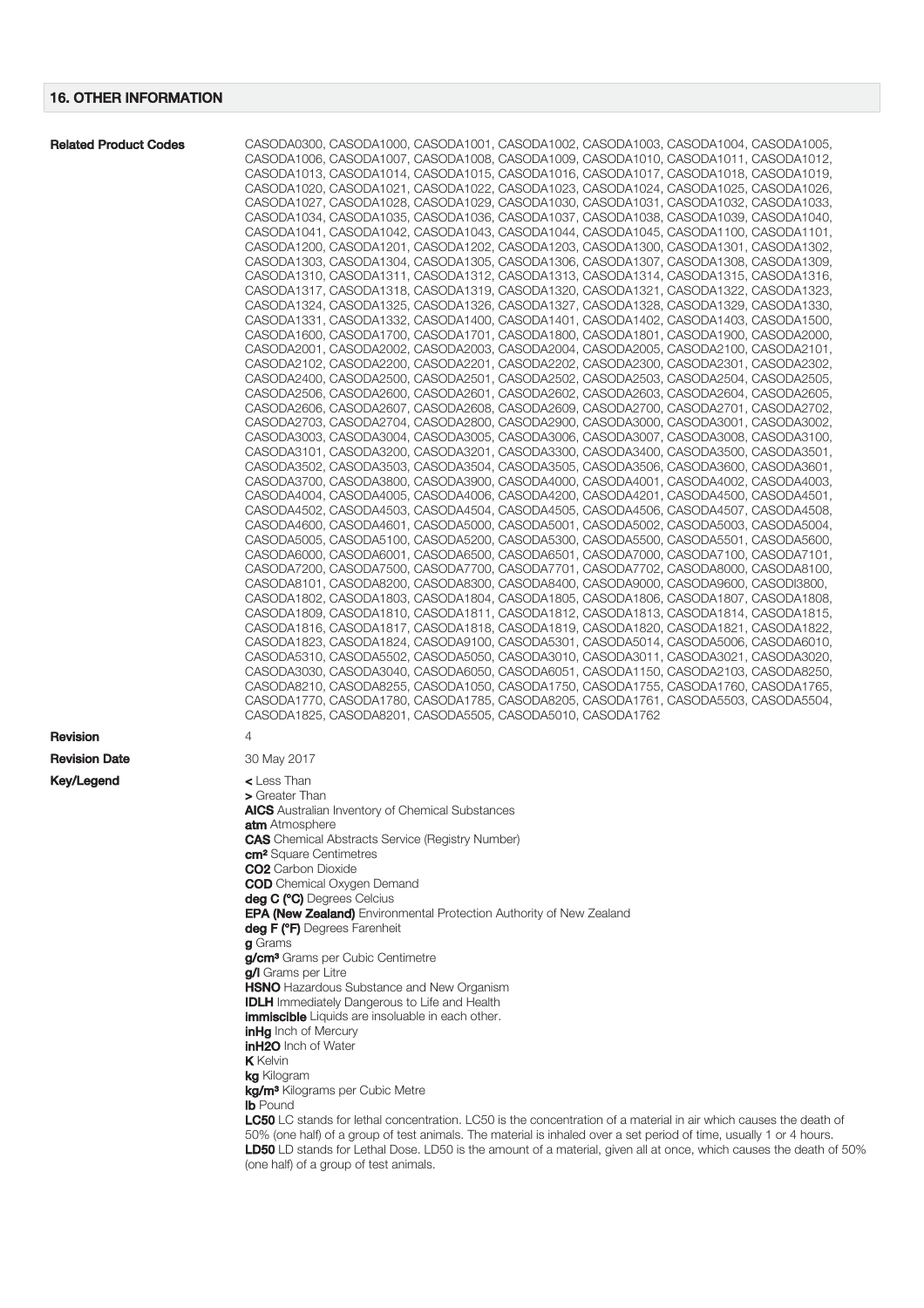| <b>Related Product Codes</b> | CASODA0300, CASODA1000, CASODA1001, CASODA1002, CASODA1003, CASODA1004, CASODA1005,                                 |
|------------------------------|---------------------------------------------------------------------------------------------------------------------|
|                              | CASODA1006, CASODA1007, CASODA1008, CASODA1009, CASODA1010, CASODA1011, CASODA1012,                                 |
|                              | CASODA1013, CASODA1014, CASODA1015, CASODA1016, CASODA1017, CASODA1018, CASODA1019,                                 |
|                              | CASODA1020, CASODA1021, CASODA1022, CASODA1023, CASODA1024, CASODA1025, CASODA1026,                                 |
|                              |                                                                                                                     |
|                              | CASODA1027, CASODA1028, CASODA1029, CASODA1030, CASODA1031, CASODA1032, CASODA1033,                                 |
|                              | CASODA1034, CASODA1035, CASODA1036, CASODA1037, CASODA1038, CASODA1039, CASODA1040,                                 |
|                              | CASODA1041, CASODA1042, CASODA1043, CASODA1044, CASODA1045, CASODA1100, CASODA1101,                                 |
|                              | CASODA1200, CASODA1201, CASODA1202, CASODA1203, CASODA1300, CASODA1301, CASODA1302,                                 |
|                              | CASODA1303, CASODA1304, CASODA1305, CASODA1306, CASODA1307, CASODA1308, CASODA1309,                                 |
|                              |                                                                                                                     |
|                              | CASODA1310, CASODA1311, CASODA1312, CASODA1313, CASODA1314, CASODA1315, CASODA1316,                                 |
|                              | CASODA1317, CASODA1318, CASODA1319, CASODA1320, CASODA1321, CASODA1322, CASODA1323,                                 |
|                              | CASODA1324, CASODA1325, CASODA1326, CASODA1327, CASODA1328, CASODA1329, CASODA1330,                                 |
|                              | CASODA1331, CASODA1332, CASODA1400, CASODA1401, CASODA1402, CASODA1403, CASODA1500,                                 |
|                              |                                                                                                                     |
|                              | CASODA1600, CASODA1700, CASODA1701, CASODA1800, CASODA1801, CASODA1900, CASODA2000,                                 |
|                              | CASODA2001, CASODA2002, CASODA2003, CASODA2004, CASODA2005, CASODA2100, CASODA2101,                                 |
|                              | CASODA2102, CASODA2200, CASODA2201, CASODA2202, CASODA2300, CASODA2301, CASODA2302,                                 |
|                              | CASODA2400, CASODA2500, CASODA2501, CASODA2502, CASODA2503, CASODA2504, CASODA2505,                                 |
|                              |                                                                                                                     |
|                              | CASODA2506, CASODA2600, CASODA2601, CASODA2602, CASODA2603, CASODA2604, CASODA2605,                                 |
|                              | CASODA2606, CASODA2607, CASODA2608, CASODA2609, CASODA2700, CASODA2701, CASODA2702,                                 |
|                              | CASODA2703, CASODA2704, CASODA2800, CASODA2900, CASODA3000, CASODA3001, CASODA3002,                                 |
|                              | CASODA3003, CASODA3004, CASODA3005, CASODA3006, CASODA3007, CASODA3008, CASODA3100,                                 |
|                              |                                                                                                                     |
|                              | CASODA3101, CASODA3200, CASODA3201, CASODA3300, CASODA3400, CASODA3500, CASODA3501,                                 |
|                              | CASODA3502, CASODA3503, CASODA3504, CASODA3505, CASODA3506, CASODA3600, CASODA3601,                                 |
|                              | CASODA3700, CASODA3800, CASODA3900, CASODA4000, CASODA4001, CASODA4002, CASODA4003,                                 |
|                              | CASODA4004, CASODA4005, CASODA4006, CASODA4200, CASODA4201, CASODA4500, CASODA4501,                                 |
|                              | CASODA4502, CASODA4503, CASODA4504, CASODA4505, CASODA4506, CASODA4507, CASODA4508,                                 |
|                              |                                                                                                                     |
|                              | CASODA4600, CASODA4601, CASODA5000, CASODA5001, CASODA5002, CASODA5003, CASODA5004,                                 |
|                              | CASODA5005, CASODA5100, CASODA5200, CASODA5300, CASODA5500, CASODA5501, CASODA5600,                                 |
|                              | CASODA6000, CASODA6001, CASODA6500, CASODA6501, CASODA7000, CASODA7100, CASODA7101,                                 |
|                              |                                                                                                                     |
|                              | CASODA7200, CASODA7500, CASODA7700, CASODA7701, CASODA7702, CASODA8000, CASODA8100,                                 |
|                              | CASODA8101, CASODA8200, CASODA8300, CASODA8400, CASODA9000, CASODA9600, CASODI3800,                                 |
|                              | CASODA1802, CASODA1803, CASODA1804, CASODA1805, CASODA1806, CASODA1807, CASODA1808,                                 |
|                              | CASODA1809, CASODA1810, CASODA1811, CASODA1812, CASODA1813, CASODA1814, CASODA1815,                                 |
|                              |                                                                                                                     |
|                              | CASODA1816, CASODA1817, CASODA1818, CASODA1819, CASODA1820, CASODA1821, CASODA1822,                                 |
|                              | CASODA1823, CASODA1824, CASODA9100, CASODA5301, CASODA5014, CASODA5006, CASODA6010,                                 |
|                              | CASODA5310, CASODA5502, CASODA5050, CASODA3010, CASODA3011, CASODA3021, CASODA3020,                                 |
|                              | CASODA3030, CASODA3040, CASODA6050, CASODA6051, CASODA1150, CASODA2103, CASODA8250,                                 |
|                              |                                                                                                                     |
|                              | CASODA8210, CASODA8255, CASODA1050, CASODA1750, CASODA1755, CASODA1760, CASODA1765,                                 |
|                              | CASODA1770, CASODA1780, CASODA1785, CASODA8205, CASODA1761, CASODA5503, CASODA5504,                                 |
|                              | CASODA1825, CASODA8201, CASODA5505, CASODA5010, CASODA1762                                                          |
|                              |                                                                                                                     |
| <b>Revision</b>              | 4                                                                                                                   |
|                              |                                                                                                                     |
| <b>Revision Date</b>         | 30 May 2017                                                                                                         |
|                              |                                                                                                                     |
| <b>Key/Legend</b>            | $\leq$ Less Than                                                                                                    |
|                              | > Greater Than                                                                                                      |
|                              | <b>AICS</b> Australian Inventory of Chemical Substances                                                             |
|                              | atm Atmosphere                                                                                                      |
|                              |                                                                                                                     |
|                              | <b>CAS</b> Chemical Abstracts Service (Registry Number)                                                             |
|                              | <b>cm<sup>2</sup></b> Square Centimetres                                                                            |
|                              | <b>CO2</b> Carbon Dioxide                                                                                           |
|                              | <b>COD</b> Chemical Oxygen Demand                                                                                   |
|                              | deg C (°C) Degrees Celcius                                                                                          |
|                              |                                                                                                                     |
|                              | <b>EPA (New Zealand)</b> Environmental Protection Authority of New Zealand                                          |
|                              | deg F (°F) Degrees Farenheit                                                                                        |
|                              | g Grams                                                                                                             |
|                              | g/cm <sup>3</sup> Grams per Cubic Centimetre                                                                        |
|                              |                                                                                                                     |
|                              | g/I Grams per Litre                                                                                                 |
|                              | <b>HSNO</b> Hazardous Substance and New Organism                                                                    |
|                              | <b>IDLH</b> Immediately Dangerous to Life and Health                                                                |
|                              | <b>immiscible</b> Liquids are insoluable in each other.                                                             |
|                              | <b>inHg</b> Inch of Mercury                                                                                         |
|                              |                                                                                                                     |
|                              | <b>inH2O</b> Inch of Water                                                                                          |
|                              | <b>K</b> Kelvin                                                                                                     |
|                              | <b>kg</b> Kilogram                                                                                                  |
|                              | kg/m <sup>3</sup> Kilograms per Cubic Metre                                                                         |
|                              |                                                                                                                     |
|                              | <b>Ib</b> Pound                                                                                                     |
|                              | LC50 LC stands for lethal concentration. LC50 is the concentration of a material in air which causes the death of   |
|                              | 50% (one half) of a group of test animals. The material is inhaled over a set period of time, usually 1 or 4 hours. |
|                              | LD50 LD stands for Lethal Dose. LD50 is the amount of a material, given all at once, which causes the death of 50%  |
|                              |                                                                                                                     |
|                              | (one half) of a group of test animals.                                                                              |